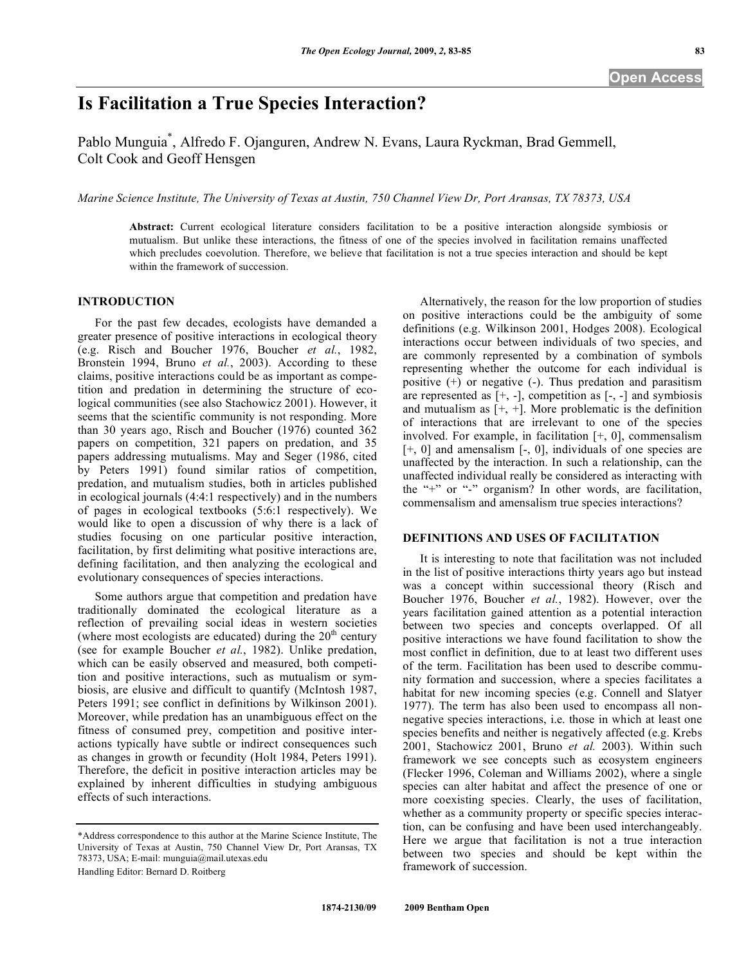# **Is Facilitation a True Species Interaction?**

Pablo Munguia\* , Alfredo F. Ojanguren, Andrew N. Evans, Laura Ryckman, Brad Gemmell, Colt Cook and Geoff Hensgen

*Marine Science Institute, The University of Texas at Austin, 750 Channel View Dr, Port Aransas, TX 78373, USA* 

**Abstract:** Current ecological literature considers facilitation to be a positive interaction alongside symbiosis or mutualism. But unlike these interactions, the fitness of one of the species involved in facilitation remains unaffected which precludes coevolution. Therefore, we believe that facilitation is not a true species interaction and should be kept within the framework of succession.

## **INTRODUCTION**

 For the past few decades, ecologists have demanded a greater presence of positive interactions in ecological theory (e.g. Risch and Boucher 1976, Boucher *et al.*, 1982, Bronstein 1994, Bruno *et al.*, 2003). According to these claims, positive interactions could be as important as competition and predation in determining the structure of ecological communities (see also Stachowicz 2001). However, it seems that the scientific community is not responding. More than 30 years ago, Risch and Boucher (1976) counted 362 papers on competition, 321 papers on predation, and 35 papers addressing mutualisms. May and Seger (1986, cited by Peters 1991) found similar ratios of competition, predation, and mutualism studies, both in articles published in ecological journals (4:4:1 respectively) and in the numbers of pages in ecological textbooks (5:6:1 respectively). We would like to open a discussion of why there is a lack of studies focusing on one particular positive interaction, facilitation, by first delimiting what positive interactions are, defining facilitation, and then analyzing the ecological and evolutionary consequences of species interactions.

 Some authors argue that competition and predation have traditionally dominated the ecological literature as a reflection of prevailing social ideas in western societies (where most ecologists are educated) during the  $20<sup>th</sup>$  century (see for example Boucher *et al.*, 1982). Unlike predation, which can be easily observed and measured, both competition and positive interactions, such as mutualism or symbiosis, are elusive and difficult to quantify (McIntosh 1987, Peters 1991; see conflict in definitions by Wilkinson 2001). Moreover, while predation has an unambiguous effect on the fitness of consumed prey, competition and positive interactions typically have subtle or indirect consequences such as changes in growth or fecundity (Holt 1984, Peters 1991). Therefore, the deficit in positive interaction articles may be explained by inherent difficulties in studying ambiguous effects of such interactions.

Handling Editor: Bernard D. Roitberg

 Alternatively, the reason for the low proportion of studies on positive interactions could be the ambiguity of some definitions (e.g. Wilkinson 2001, Hodges 2008). Ecological interactions occur between individuals of two species, and are commonly represented by a combination of symbols representing whether the outcome for each individual is positive (+) or negative (-). Thus predation and parasitism are represented as  $[+, -]$ , competition as  $[-, -]$  and symbiosis and mutualism as  $[+,+]$ . More problematic is the definition of interactions that are irrelevant to one of the species involved. For example, in facilitation [+, 0], commensalism [+, 0] and amensalism [-, 0], individuals of one species are unaffected by the interaction. In such a relationship, can the unaffected individual really be considered as interacting with the "+" or "-" organism? In other words, are facilitation, commensalism and amensalism true species interactions?

### **DEFINITIONS AND USES OF FACILITATION**

 It is interesting to note that facilitation was not included in the list of positive interactions thirty years ago but instead was a concept within successional theory (Risch and Boucher 1976, Boucher *et al.*, 1982). However, over the years facilitation gained attention as a potential interaction between two species and concepts overlapped. Of all positive interactions we have found facilitation to show the most conflict in definition, due to at least two different uses of the term. Facilitation has been used to describe community formation and succession, where a species facilitates a habitat for new incoming species (e.g. Connell and Slatyer 1977). The term has also been used to encompass all nonnegative species interactions, i.e. those in which at least one species benefits and neither is negatively affected (e.g. Krebs 2001, Stachowicz 2001, Bruno *et al.* 2003). Within such framework we see concepts such as ecosystem engineers (Flecker 1996, Coleman and Williams 2002), where a single species can alter habitat and affect the presence of one or more coexisting species. Clearly, the uses of facilitation, whether as a community property or specific species interaction, can be confusing and have been used interchangeably. Here we argue that facilitation is not a true interaction between two species and should be kept within the framework of succession.

<sup>\*</sup>Address correspondence to this author at the Marine Science Institute, The University of Texas at Austin, 750 Channel View Dr, Port Aransas, TX 78373, USA; E-mail: munguia@mail.utexas.edu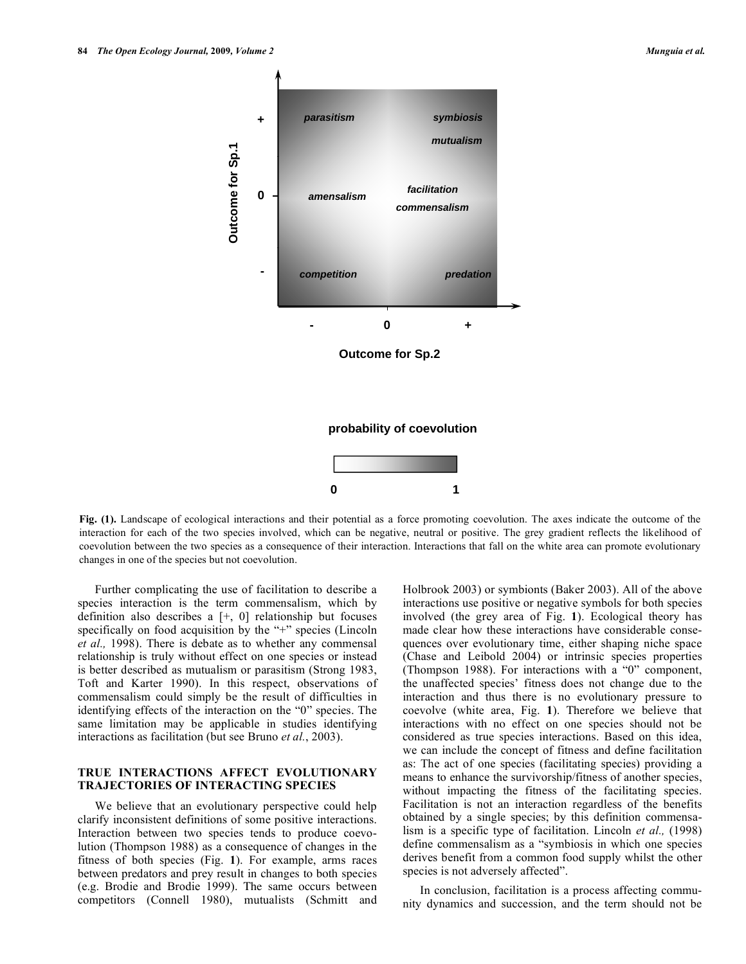

**Fig. (1).** Landscape of ecological interactions and their potential as a force promoting coevolution. The axes indicate the outcome of the interaction for each of the two species involved, which can be negative, neutral or positive. The grey gradient reflects the likelihood of coevolution between the two species as a consequence of their interaction. Interactions that fall on the white area can promote evolutionary changes in one of the species but not coevolution.

 Further complicating the use of facilitation to describe a species interaction is the term commensalism, which by definition also describes a [+, 0] relationship but focuses specifically on food acquisition by the "+" species (Lincoln *et al.,* 1998). There is debate as to whether any commensal relationship is truly without effect on one species or instead is better described as mutualism or parasitism (Strong 1983, Toft and Karter 1990). In this respect, observations of commensalism could simply be the result of difficulties in identifying effects of the interaction on the "0" species. The same limitation may be applicable in studies identifying interactions as facilitation (but see Bruno *et al.*, 2003).

#### **TRUE INTERACTIONS AFFECT EVOLUTIONARY TRAJECTORIES OF INTERACTING SPECIES**

 We believe that an evolutionary perspective could help clarify inconsistent definitions of some positive interactions. Interaction between two species tends to produce coevolution (Thompson 1988) as a consequence of changes in the fitness of both species (Fig. **1**). For example, arms races between predators and prey result in changes to both species (e.g. Brodie and Brodie 1999). The same occurs between competitors (Connell 1980), mutualists (Schmitt and Holbrook 2003) or symbionts (Baker 2003). All of the above interactions use positive or negative symbols for both species involved (the grey area of Fig. **1**). Ecological theory has made clear how these interactions have considerable consequences over evolutionary time, either shaping niche space (Chase and Leibold 2004) or intrinsic species properties (Thompson 1988). For interactions with a "0" component, the unaffected species' fitness does not change due to the interaction and thus there is no evolutionary pressure to coevolve (white area, Fig. **1**). Therefore we believe that interactions with no effect on one species should not be considered as true species interactions. Based on this idea, we can include the concept of fitness and define facilitation as: The act of one species (facilitating species) providing a means to enhance the survivorship/fitness of another species, without impacting the fitness of the facilitating species. Facilitation is not an interaction regardless of the benefits obtained by a single species; by this definition commensalism is a specific type of facilitation. Lincoln *et al.,* (1998) define commensalism as a "symbiosis in which one species derives benefit from a common food supply whilst the other species is not adversely affected".

 In conclusion, facilitation is a process affecting community dynamics and succession, and the term should not be